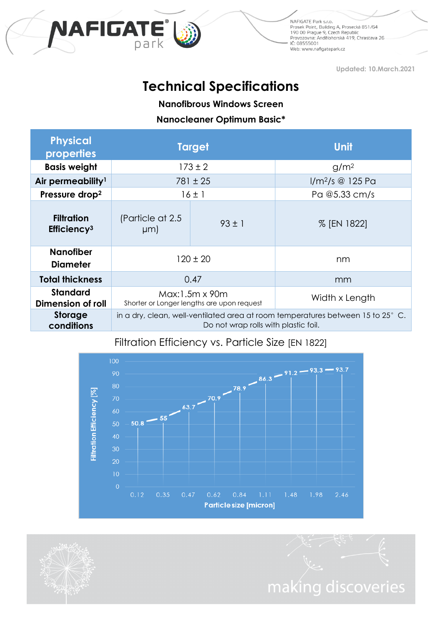

NAFIGATE Park s.r.o. ivali uzare rene silo.<br>1900: Prosek Point, Building A, Prosecká 851/64<br>1900: Prague 9, Czech Republic<br>Provozovna: Andělohorská 419, Chrastava 26 IČ: 08555001 Web: www.nafigatepark.cz

**Updated: 10.March.2021**

# **Technical Specifications**

**Nanofibrous Windows Screen**

**Nanocleaner Optimum Basic\***

| <b>Physical</b><br>properties                | <b>Target</b>                                                                                                           |            | Unit                |
|----------------------------------------------|-------------------------------------------------------------------------------------------------------------------------|------------|---------------------|
| <b>Basis weight</b>                          | $173 \pm 2$                                                                                                             |            | g/m <sup>2</sup>    |
| Air permeability <sup>1</sup>                | $781 \pm 25$                                                                                                            |            | $1/m^2$ /s @ 125 Pa |
| Pressure drop <sup>2</sup>                   | $16 \pm 1$                                                                                                              |            | Pa @5.33 cm/s       |
| <b>Filtration</b><br>Efficiency <sup>3</sup> | (Particle at 2.5)<br>µm)                                                                                                | $93 \pm 1$ | % [EN 1822]         |
| <b>Nanofiber</b><br><b>Diameter</b>          | $120 \pm 20$                                                                                                            |            | nm                  |
| <b>Total thickness</b>                       | 0.47                                                                                                                    |            | mm                  |
| <b>Standard</b><br>Dimension of roll         | Max:1.5m x 90m<br>Shorter or Longer lengths are upon request                                                            |            | Width x Length      |
| <b>Storage</b><br>conditions                 | in a dry, clean, well-ventilated area at room temperatures between 15 to 25° C.<br>Do not wrap rolls with plastic foil. |            |                     |

## Filtration Efficiency vs. Particle Size [EN 1822]



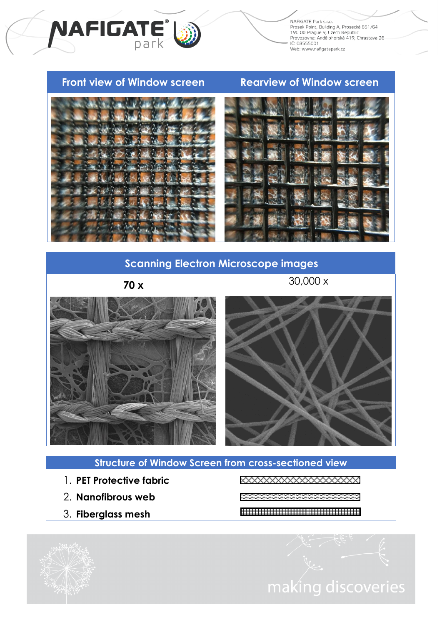

#### **Front view of Window screen Rearview of Window screen**

**NAFIGATE** 

30,000 x



### **Scanning Electron Microscope images**

**70 x**



#### **Structure of Window Screen from cross-sectioned view**

- 1. **PET Protective fabric**
- 2. **Nanofibrous web**
- 3. **Fiberglass mesh**

XXXXXXXXXXXXXXXXX

- 10000000000000000000000
- 

making discoveries